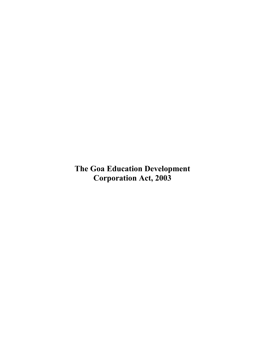**The Goa Education Development Corporation Act, 2003**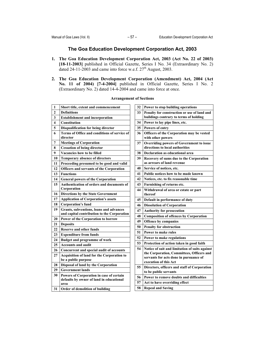# **The Goa Education Development Corporation Act, 2003**

- **1. The Goa Education Development Corporation Act, 2003 (Act No. 22 of 2003) [18-11-2003]** published in Official Gazette, Series I No. 34 (Extraordinary No. 2) dated 24-11-2003 and came into force w.e.f.  $27<sup>th</sup>$  August, 2003.
- **2. The Goa Education Development Corporation (Amendment) Act, 2004 (Act No. 11 of 2004) [7-4-2004]** published in Official Gazette, Series I No. 2 (Extraordinary No. 2) dated 14-4-2004 and came into force at once.

| 1              | Short title, extent and commencement                     | 32 | Po             |
|----------------|----------------------------------------------------------|----|----------------|
| $\overline{2}$ | <b>Definitions</b>                                       | 33 | Pel            |
| 3              | <b>Establishment and incorporation</b>                   |    | bui            |
| 4              | <b>Constitution</b>                                      | 34 | Po             |
| 5              | Disqualification for being director                      | 35 | Po             |
| 6              | Terms of Office and conditions of service of<br>director | 36 | Of<br>wit      |
| 7              | <b>Meetings of Corporation</b>                           | 37 | Ov             |
| 8              | <b>Cessation of being director</b>                       |    | dir            |
| 9              | Vacancies how to be filled                               | 38 | De             |
| 10             | <b>Temporary absence of directors</b>                    | 39 | Re             |
| 11             | Proceeding presumed to be good and valid                 |    | as:            |
| 12             | <b>Officers and servants of the Corporation</b>          | 40 | Ser            |
| 13             | <b>Functions</b>                                         | 41 | Pu             |
| 14             | <b>General powers of the Corporation</b>                 | 42 | N <sub>0</sub> |
| 15             | Authentication of orders and documents of                | 43 | Fu             |
|                | Corporation                                              | 44 | Wi             |
| 16             | <b>Directions by the State Government</b>                |    | the            |
| 17             | <b>Application of Corporation's assets</b>               | 45 | De             |
| 18             | <b>Corporation's fund</b>                                | 46 | Dis            |
| 19             | Grants, subventions, loans and advances                  | 47 | Au             |
|                | and capital contribution to the Corporation              | 48 | Co             |
| 20             | Power of the Corporation to borrow                       | 49 | Of             |
| 21             | <b>Deposits</b>                                          | 50 | Pel            |
| 22             | <b>Reserve and other funds</b>                           | 51 |                |
| 23             | <b>Expenditure from funds</b>                            |    | Po             |
| 24             | <b>Budget and programme of work</b>                      | 52 | Po             |
| 25             | <b>Accounts and audit</b>                                | 53 | Pro            |
| 26             | Concurrent and special audit of accounts                 | 54 | N <sub>0</sub> |
| 27             | <b>Acquisition of land for the Corporation to</b>        |    | the<br>ser     |
|                | be a public purpose                                      |    | exe            |
| 28             | Disposal of land by the Corporation                      | 55 | Di             |
| 29             | <b>Government lands</b>                                  |    | to             |
| 30             | Powers of Corporation in case of certain                 | 56 | Po             |
|                | defaults by owner of land in educational                 | 57 | Ac             |
|                | area                                                     | 58 | Re             |
| 31             | Order of demolition of building                          |    |                |

### **Arrangement of Sections**

| 32 | Power to stop building operations               |
|----|-------------------------------------------------|
| 33 | Penalty for construction or use of land and     |
|    | buildings contrary to terms of holding          |
| 34 | Power to lay pipe lines, etc.                   |
| 35 | Powers of entry                                 |
| 36 | Officers of the Corporation may be vested       |
|    | with other powers                               |
| 37 | <b>Overriding powers of Government to issue</b> |
|    | directions to local authorities                 |
| 38 | <b>Declaration as educational area</b>          |
| 39 | Recovery of sums due to the Corporation         |
|    | as arrears of land revenue                      |
| 40 | Service of notices, etc.                        |
| 41 | Public notices how to be made known             |
| 42 | Notices, etc. to fix reasonable time            |
| 43 | Furnishing of returns etc.                      |
| 44 | Withdrawal of area or estate or part            |
|    | thereof                                         |
| 45 | Default in performance of duty                  |
| 46 | <b>Dissolution of Corporation</b>               |
| 47 | <b>Authority for prosecution</b>                |
| 48 | <b>Composition of offences by Corporation</b>   |
| 49 | Offence by companies                            |
| 50 | <b>Penalty for obstruction</b>                  |
| 51 | Power to make rules                             |
| 52 | Power to make regulations                       |
| 53 | Protection of action taken in good faith        |
| 54 | Notice of suit and limitation of suits against  |
|    | the Corporation, Committees, Officers and       |
|    | servants for acts done in pursuance of          |
|    | execution of this Act                           |
| 55 | Directors, officers and staff of Corporation    |
|    | to be public servants                           |
| 56 | Power to remove doubts and difficulties         |
| 57 | Act to have overriding effect                   |
| 58 | <b>Repeal and Saving</b>                        |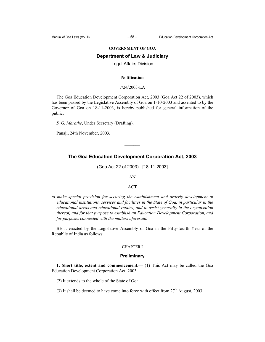#### **GOVERNMENT OF GOA**

### **Department of Law & Judiciary**

### Legal Affairs Division  $\mathcal{L}_\mathcal{L}$

#### **Notification**

#### 7/24/2003-LA

The Goa Education Development Corporation Act, 2003 (Goa Act 22 of 2003), which has been passed by the Legislative Assembly of Goa on 1-10-2003 and assented to by the Governor of Goa on 18-11-2003, is hereby published for general information of the public.

*S. G. Marathe*, Under Secretary (Drafting).

Panaji, 24th November, 2003.

## **The Goa Education Development Corporation Act, 2003**

(Goa Act 22 of 2003) [18-11-2003]

AN

#### ACT

*to make special provision for securing the establishment and orderly development of educational institutions, services and facilities in the State of Goa, in particular in the educational areas and educational estates, and to assist generally in the organisation thereof, and for that purpose to establish an Education Development Corporation, and for purposes connected with the matters aforesaid.* 

BE it enacted by the Legislative Assembly of Goa in the Fifty-fourth Year of the Republic of India as follows:—

### CHAPTER I

### **Preliminary**

**1. Short title, extent and commencement.—** (1) This Act may be called the Goa Education Development Corporation Act, 2003.

(2) It extends to the whole of the State of Goa.

(3) It shall be deemed to have come into force with effect from  $27<sup>th</sup>$  August, 2003.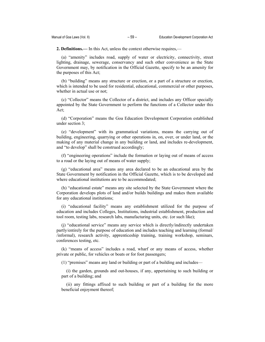**2. Definitions.—** In this Act, unless the context otherwise requires,—

(a) "amenity" includes road, supply of water or electricity, connectivity, street lighting, drainage, sewerage, conservancy and such other convenience as the State Government may, by notification in the Official Gazette, specify to be an amenity for the purposes of this Act;

(b) "building" means any structure or erection, or a part of a structure or erection, which is intended to be used for residential, educational, commercial or other purposes, whether in actual use or not;

(c) "Collector" means the Collector of a district, and includes any Officer specially appointed by the State Government to perform the functions of a Collector under this Act;

(d) "Corporation" means the Goa Education Development Corporation established under section 3;

(e) "development" with its grammatical variations, means the carrying out of building, engineering, quarrying or other operations in, on, over, or under land, or the making of any material change in any building or land, and includes re-development, and "to develop" shall be construed accordingly;

(f) "engineering operations" include the formation or laying out of means of access to a road or the laying out of means of water supply;

(g) "educational area" means any area declared to be an educational area by the State Government by notification in the Official Gazette, which is to be developed and where educational institutions are to be accommodated;

(h) "educational estate" means any site selected by the State Government where the Corporation develops plots of land and/or builds buildings and makes them available for any educational institutions;

(i) "educational facility" means any establishment utilized for the purpose of education and includes Colleges, Institutions, industrial establishment, production and tool room, testing labs, research labs, manufacturing units, etc. (or such like);

(j) "educational service" means any service which is directly/indirectly undertaken partly/entirely for the purpose of education and includes teaching and learning (formal/ /informal), research activity, apprenticeship training, training workshop, seminars, conferences testing, etc.

(k) "means of access" includes a road, wharf or any means of access, whether private or public, for vehicles or boats or for foot passengers;

(1) "premises" means any land or building or part of a building and includes—

(i) the garden, grounds and out-houses, if any, appertaining to such building or part of a building; and

(ii) any fittings affixed to such building or part of a building for the more beneficial enjoyment thereof;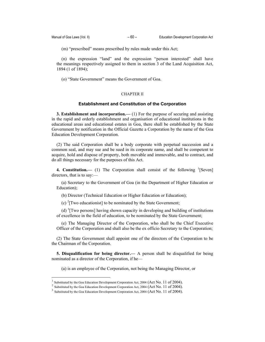(m) "prescribed" means prescribed by rules made under this Act;

(n) the expression "land" and the expression "person interested" shall have the meanings respectively assigned to them in section 3 of the Land Acquisition Act, 1894 (1 of 1894);

(o) "State Government" means the Government of Goa.

## CHAPTER II

### **Establishment and Constitution of the Corporation**

**3. Establishment and incorporation.—** (1) For the purpose of securing and assisting in the rapid and orderly establishment and organisation of educational institutions in the educational areas and educational estates in Goa, there shall be established by the State Government by notification in the Official Gazette a Corporation by the name of the Goa Education Development Corporation.

(2) The said Corporation shall be a body corporate with perpetual succession and a common seal, and may sue and be sued in its corporate name, and shall be competent to acquire, hold and dispose of property, both movable and immovable, and to contract, and do all things necessary for the purposes of this Act.

**4. Constitution.** (1) The Corporation shall consist of the following <sup>1</sup>[Seven] directors, that is to say:—

(a) Secretary to the Government of Goa (in the Department of Higher Education or Education);

(b) Director (Technical Education or Higher Education or Education);

(c)  $\textsuperscript{2}$  [Two educationist] to be nominated by the State Government;

(d)  ${}^{3}$ [Two persons] having shown capacity in developing and building of institutions of excellence in the field of education, to be nominated by the State Government;

(e) The Managing Director of the Corporation, who shall be the Chief Executive Officer of the Corporation and shall also be the ex officio Secretary to the Corporation;

(2) The State Government shall appoint one of the directors of the Corporation to be the Chairman of the Corporation.

**5. Disqualification for being director.—** A person shall be disqualified for being nominated as a director of the Corporation, if he—

(a) is an employee of the Corporation, not being the Managing Director, or

 $\overline{a}$ 

Substituted by the Goa Education Development Corporation Act, 2004 (Act No. 11 of 2004).

 $^2$  Substituted by the Goa Education Development Corporation Act, 2004 (Act No. 11 of 2004).

 $3$  Substituted by the Goa Education Development Corporation Act, 2004 (Act No. 11 of 2004).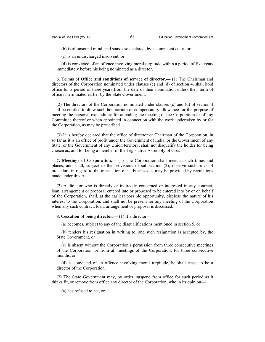(b) is of unsound mind, and stands so declared, by a competent court, or

(c) is an undischarged insolvent, or

(d) is convicted of an offence involving moral turpitude within a period of five years immediately before his being nominated as a director.

**6. Terms of Office and conditions of service of director.—** (1) The Chairman and directors of the Corporation nominated under clauses (c) and (d) of section 4, shall hold office for a period of three years from the date of their nomination unless their term of office is terminated earlier by the State Government.

(2) The directors of the Corporation nominated under clauses (c) and (d) of section 4 shall be entitled to draw such honorarium or compensatory allowance for the purpose of meeting the personal expenditure for attending the meeting of the Corporation or of any Committee thereof or when appointed in connection with the work undertaken by or for the Corporation, as may be prescribed.

(3) It is hereby declared that the office of director or Chairman of the Corporation, in so far as it is an office of profit under the Government of India, or the Government of any State, or the Government of any Union territory, shall not disqualify the holder for being chosen as, and for being a member of the Legislative Assembly of Goa.

**7. Meetings of Corporation.—** (1) The Corporation shall meet at such times and places, and shall, subject to the provisions of sub-section (2), observe such rules of procedure in regard to the transaction of its business as may be provided by regulations made under this Act.

(2) A director who is directly or indirectly concerned or interested in any contract, loan, arrangement or proposal entered into or proposed to be entered into by or on behalf of the Corporation, shall, at the earliest possible opportunity, disclose the nature of his interest to the Corporation, and shall not be present for any meeting of the Corporation when any such contract, loan, arrangement or proposal is discussed.

**8. Cessation of being director.—** (1) If a director—

(a) becomes, subject to any of the disqualifications mentioned in section 5, or

(b) tenders his resignation in writing to, and such resignation is accepted by, the State Government, or

(c) is absent without the Corporation's permission from three consecutive meetings of the Corporation, or from all meetings of the Corporation, for three consecutive months, or

(d) is convicted of an offence involving moral turpitude, he shall cease to be a director of the Corporation.

(2) The State Government may, by order, suspend from office for such period as it thinks fit, or remove from office any director of the Corporation, who in its opinion—

(a) has refused to act, or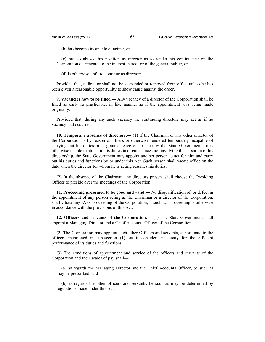(b) has become incapable of acting, or

(c) has so abused his position as director as to render his continuance on the Corporation detrimental to the interest thereof or of the general public, or

(d) is otherwise unfit to continue as director:

Provided that, a director shall not be suspended or removed from office unless he has been given a reasonable opportunity to show cause against the order.

**9. Vacancies how to be filled.—** Any vacancy of a director of the Corporation shall be filled as early as practicable, in like manner as if the appointment was being made originally:

Provided that, during any such vacancy the continuing directors may act as if no vacancy had occurred.

**10. Temporary absence of directors.—** (1) If the Chairman or any other director of the Corporation is by reason of illness or otherwise rendered temporarily incapable of carrying out his duties or is granted leave of absence by the State Government, or is otherwise unable to attend to his duties in circumstances not involving the cessation of his directorship, the State Government may appoint another person to act for him and carry out his duties and functions by or under this Act. Such person shall vacate office on the date when the director for whom he is acting resumes his duties.

(2) In the absence of the Chairman, the directors present shall choose the Presiding Officer to preside over the meetings of the Corporation.

**11. Proceeding presumed to be good and valid.—** No disqualification of, or defect in the appointment of any person acting as the Chairman or a director of the Corporation, shall vitiate any -A or proceeding of the Corporation, if such act proceeding is otherwise in accordance with the provisions of this Act.

**12. Officers and servants of the Corporation.—** (1) The State Government shall appoint a Managing Director and a Chief Accounts Officer of the Corporation.

(2) The Corporation may appoint such other Officers and servants, subordinate to the officers mentioned in sub-section (1), as it considers necessary for the efficient performance of its duties and functions.

(3) The conditions of appointment and service of the officers and servants of the Corporation and their scales of pay shall—

(a) as regards the Managing Director and the Chief Accounts Officer, be such as may be prescribed, and

(b) as regards the other officers and servants, be such as may be determined by regulations made under this Act.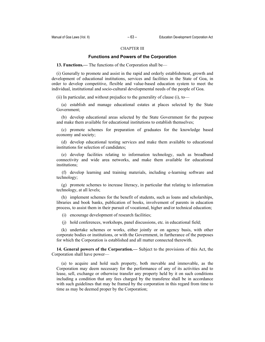### CHAPTER III

### **Functions and Powers of the Corporation**

**13. Functions.—** The functions of the Corporation shall be—

(i) Generally to promote and assist in the rapid and orderly establishment, growth and development of educational institutions, services and facilities in the State of Goa, in order to develop competitive, flexible and value-based education system to meet the individual, institutional and socio-cultural developmental needs of the people of Goa.

(ii) In particular, and without prejudice to the generality of clause (i), to—

(a) establish and manage educational estates at places selected by the State Government;

(b) develop educational areas selected by the State Government for the purpose and make them available for educational institutions to establish themselves;

(c) promote schemes for preparation of graduates for the knowledge based economy and society;

(d) develop educational testing services and make them available to educational institutions for selection of candidates;

(e) develop facilities relating to information technology, such as broadband connectivity and wide area networks, and make them available for educational institutions;

 (f) develop learning and training materials, including e-learning software and technology;

(g) promote schemes to increase literacy, in particular that relating to information technology, at all levels;

(h) implement schemes for the benefit of students, such as loans and scholarships, libraries and book banks, publication of books, involvement of parents in education process, to assist them in their pursuit of vocational, higher and/or technical education;

(i) encourage development of research facilities;

(j) hold conferences, workshops, panel discussions, etc. in educational field;

(k) undertake schemes or works, either jointly or on agency basis, with other corporate bodies or institutions, or with the Government, in furtherance of the purposes for which the Corporation is established and all matter connected therewith.

**14. General powers of the Corporation.—** Subject to the provisions of this Act, the Corporation shall have power—

(a) to acquire and hold such property, both movable and immovable, as the Corporation may deem necessary for the performance of any of its activities and to lease, sell, exchange or otherwise transfer any property held by it on such conditions including a condition that any fees charged by the transferee shall be in accordance with such guidelines that may be framed by the corporation in this regard from time to time as may be deemed proper by the Corporation;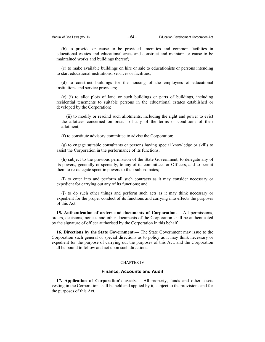(b) to provide or cause to be provided amenities and common facilities in educational estates and educational areas and construct and maintain or cause to be maintained works and buildings thereof;

(c) to make available buildings on hire or sale to educationists or persons intending to start educational institutions, services or facilities;

(d) to construct buildings for the housing of the employees of educational institutions and service providers;

(e) (i) to allot plots of land or such buildings or parts of buildings, including residential tenements to suitable persons in the educational estates established or developed by the Corporation;

(ii) to modify or rescind such allotments, including the right and power to evict the allottees concerned on breach of any of the terms or conditions of their allotment;

(f) to constitute advisory committee to advise the Corporation;

(g) to engage suitable consultants or persons having special knowledge or skills to assist the Corporation in the performance of its functions;

(h) subject to the previous permission of the State Government, to delegate any of its powers, generally or specially, to any of its committees or Officers, and to permit them to re-delegate specific powers to their subordinates;

(i) to enter into and perform all such contracts as it may consider necessary or expedient for carrying out any of its functions; and

(j) to do such other things and perform such acts as it may think necessary or expedient for the proper conduct of its functions and carrying into effects the purposes of this Act.

**15. Authentication of orders and documents of Corporation.—** All permissions, orders, decisions, notices and other documents of the Corporation shall be authenticated by the signature of officer authorised by the Corporation in this behalf.

**16. Directions by the State Government.—** The State Government may issue to the Corporation such general or special directions as to policy as it may think necessary or expedient for the purpose of carrying out the purposes of this Act, and the Corporation shall be bound to follow and act upon such directions.

### CHAPTER IV

### **Finance, Accounts and Audit**

**17. Application of Corporation's assets.—** All property, funds and other assets vesting in the Corporation shall be held and applied by it, subject to the provisions and for the purposes of this Act.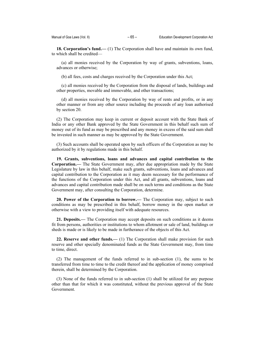**18. Corporation's fund.—** (1) The Corporation shall have and maintain its own fund, to which shall be credited—

(a) all monies received by the Corporation by way of grants, subventions, loans, advances or otherwise;

(b) all fees, costs and charges received by the Corporation under this Act;

(c) all monies received by the Corporation from the disposal of lands, buildings and other properties, movable and immovable, and other transactions;

(d) all monies received by the Corporation by way of rents and profits, or in any other manner or from any other source including the proceeds of any loan authorised by section 20.

(2) The Corporation may keep in current or deposit account with the State Bank of India or any other Bank approved by the State Government in this behalf such sum of money out of its fund as may be prescribed and any money in excess of the said sum shall be invested in such manner as may be approved by the State Government.

(3) Such accounts shall be operated upon by such officers of the Corporation as may be authorized by it by regulations made in this behalf.

**19. Grants, subventions, loans and advances and capital contribution to the Corporation.—** The State Government may, after due appropriation made by the State Legislature by law in this behalf, make such grants, subventions, loans and advances and capital contribution to the Corporation as it may deem necessary for the performance of the functions of the Corporation under this Act, and all grants, subventions, loans and advances and capital contribution made shall be on such terms and conditions as the State Government may, after consulting the Corporation, determine.

**20. Power of the Corporation to borrow.—** The Corporation may, subject to such conditions as may be prescribed in this behalf, borrow money in the open market or otherwise with a view to providing itself with adequate resources.

**21. Deposits.—** The Corporation may accept deposits on such conditions as it deems fit from persons, authorities or institutions to whom allotment or sale of land, buildings or sheds is made or is likely to be made in furtherance of the objects of this Act.

**22. Reserve and other funds.—** (1) The Corporation shall make provision for such reserve and other specially denominated funds as the State Government may, from time to time, direct.

(2) The management of the funds referred to in sub-section (1), the sums to be transferred from time to time to the credit thereof and the application of money comprised therein, shall be determined by the Corporation.

(3) None of the funds referred to in sub-section (1) shall be utilized for any purpose other than that for which it was constituted, without the previous approval of the State Government.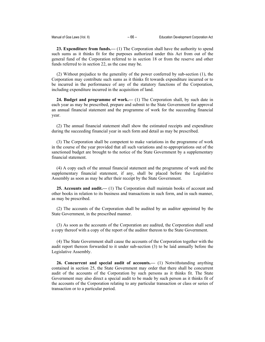**23. Expenditure from funds.—** (1) The Corporation shall have the authority to spend such sums as it thinks fit for the purposes authorized under this Act from out of the general fund of the Corporation referred to in section 18 or from the reserve and other funds referred to in section 22, as the case may be.

(2) Without prejudice to the generality of the power conferred by sub-section (1), the Corporation may contribute such sums as it thinks fit towards expenditure incurred or to be incurred in the performance of any of the statutory functions of the Corporation, including expenditure incurred in the acquisition of land.

**24. Budget and programme of work.—** (1) The Corporation shall, by such date in each year as may be prescribed, prepare and submit to the State Government for approval an annual financial statement and the programme of work for the succeeding financial year.

(2) The annual financial statement shall show the estimated receipts and expenditure during the succeeding financial year in such form and detail as may be prescribed.

(3) The Corporation shall be competent to make variations in the programme of work in the course of the year provided that all such variations and re-appropriations out of the sanctioned budget are brought to the notice of the State Government by a supplementary financial statement.

(4) A copy each of the annual financial statement and the programme of work and the supplementary financial statement, if any, shall be placed before the Legislative Assembly as soon as may be after their receipt by the State Government.

**25. Accounts and audit.—** (1) The Corporation shall maintain books of account and other books in relation to its business and transactions in such form, and in such manner, as may be prescribed.

(2) The accounts of the Corporation shall be audited by an auditor appointed by the State Government, in the prescribed manner.

(3) As soon as the accounts of the Corporation are audited, the Corporation shall send a copy thereof with a copy of the report of the auditor thereon to the State Government.

(4) The State Government shall cause the accounts of the Corporation together with the audit report thereon forwarded to it under sub-section (3) to be laid annually before the Legislative Assembly.

**26. Concurrent and special audit of accounts.—** (1) Notwithstanding anything contained in section 25, the State Government may order that there shall be concurrent audit of the accounts of the Corporation by such persons as it thinks fit. The State Government may also direct a special audit to be made by such person as it thinks fit of the accounts of the Corporation relating to any particular transaction or class or series of transaction or to a particular period.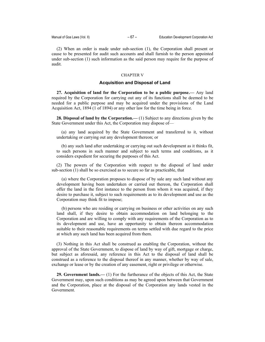(2) When an order is made under sub-section (1), the Corporation shall present or cause to be presented for audit such accounts and shall furnish to the person appointed under sub-section (1) such information as the said person may require for the purpose of audit.

### CHAPTER V

### **Acquisition and Disposal of Land**

**27. Acquisition of land for the Corporation to be a public purpose.—** Any land required by the Corporation for carrying out any of its functions shall be deemed to be needed for a public purpose and may be acquired under the provisions of the Land Acquisition Act, 1894 (1 of 1894) or any other law for the time being in force.

**28. Disposal of land by the Corporation.—** (1) Subject to any directions given by the State Government under this Act, the Corporation may dispose of—

(a) any land acquired by the State Government and transferred to it, without undertaking or carrying out any development thereon; or

(b) any such land after undertaking or carrying out such development as it thinks fit, to such persons in such manner and subject to such terms and conditions, as it considers expedient for securing the purposes of this Act.

(2) The powers of the Corporation with respect to the disposal of land under sub-section (1) shall be so exercised as to secure so far as practicable, that

(a) where the Corporation proposes to dispose of by sale any such land without any development having been undertaken or carried out thereon, the Corporation shall offer the land in the first instance to the person from whom it was acquired, if they desire to purchase it, subject to such requirements as to its development and use as the Corporation may think fit to impose;

(b) persons who are residing or carrying on business or other activities on any such land shall, if they desire to obtain accommodation on land belonging to the Corporation and are willing to comply with any requirements of the Corporation as to its development and use, have an opportunity to obtain thereon accommodation suitable to their reasonable requirements on terms settled with due regard to the price at which any such land has been acquired from them.

(3) Nothing in this Act shall be construed as enabling the Corporation, without the approval of the State Government, to dispose of land by way of gift, mortgage or charge, but subject as aforesaid, any reference in this Act to the disposal of land shall be construed as a reference to the disposal thereof in any manner, whether by way of sale, exchange or lease or by the creation of any easement, right or privilege or otherwise.

**29. Government lands.—** (1) For the furtherance of the objects of this Act, the State Government may, upon such conditions as may be agreed upon between that Government and the Corporation, place at the disposal of the Corporation any lands vested in the Government.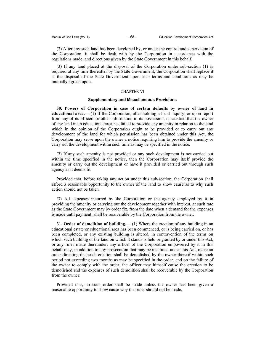(2) After any such land has been developed by, or under the control and supervision of the Corporation, it shall be dealt with by the Corporation in accordance with the regulations made, and directions given by the State Government in this behalf.

(3) If any land placed at the disposal of the Corporation under sub-section (1) is required at any time thereafter by the State Government, the Corporation shall replace it at the disposal of the State Government upon such terms and conditions as may be mutually agreed upon.

### CHAPTER VI

### **Supplementary and Miscellaneous Provisions**

**30. Powers of Corporation in case of certain defaults by owner of land in educational area.—** (1) If the Corporation, after holding a local inquiry, or upon report from any of its officers or other information in its possession, is satisfied that the owner of any land in an educational area has failed to provide any amenity in relation to the land which in the opinion of the Corporation ought to be provided or to carry out any development of the land for which permission has been obtained under this Act, the Corporation may serve upon the owner a notice requiring him to provide the amenity or carry out the development within such time as may be specified in the notice.

(2) If any such amenity is not provided or any such development is not carried out within the time specified in the notice, then the Corporation may itself provide the amenity or carry out the development or have it provided or carried out through such agency as it deems fit:

Provided that, before taking any action under this sub-section, the Corporation shall afford a reasonable opportunity to the owner of the land to show cause as to why such action should not be taken.

(3) All expenses incurred by the Corporation or the agency employed by it in providing the amenity or carrying out the development together with interest, at such rate as the State Government may by order fix, from the date when a demand for the expenses is made until payment, shall be recoverable by the Corporation from the owner.

**31. Order of demolition of building.—** (1) Where the erection of any building in an educational estate or educational area has been commenced, or is being carried on, or has been completed, or any existing building is altered, in contravention of the terms on which such building or the land on which it stands is held or granted by or under this Act, or any rules made thereunder, any officer of the Corporation empowered by it in this behalf may, in addition to any prosecution that may be instituted under this Act, make an order directing that such erection shall be demolished by the owner thereof within such period not exceeding two months as may be specified in the order, and on the failure of the owner to comply with the order, the officer may himself cause the erection to be demolished and the expenses of such demolition shall be recoverable by the Corporation from the owner:

Provided that, no such order shall be made unless the owner has been given a reasonable opportunity to show cause why the order should not be made.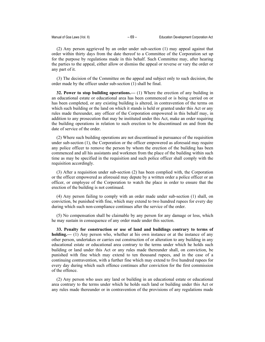(2) Any person aggrieved by an order under sub-section (1) may appeal against that order within thirty days from the date thereof to a Committee of the Corporation set up for the purpose by regulations made in this behalf. Such Committee may, after hearing the parties to the appeal, either allow or dismiss the appeal or reverse or vary the order or any part of it.

(3) The decision of the Committee on the appeal and subject only to such decision, the order made by the officer under sub-section (1) shall be final.

**32. Power to stop building operations.—** (1) Where the erection of any building in an educational estate or educational area has been commenced or is being carried on or has been completed, or any existing building is altered, in contravention of the terms on which such building or the land on which it stands is held or granted under this Act or any rules made thereunder, any officer of the Corporation empowered in this behalf may, in addition to any prosecution that may be instituted under this Act, make an order requiring the building operations in relation to such erection to be discontinued on and from the date of service of the order.

(2) Where such building operations are not discontinued in pursuance of the requisition under sub-section (1), the Corporation or the officer empowered as aforesaid may require any police officer to remove the person by whom the erection of the building has been commenced and all his assistants and workmen from the place of the building within such time as may be specified in the requisition and such police officer shall comply with the requisition accordingly.

(3) After a requisition under sub-section (2) has been complied with, the Corporation or the officer empowered as aforesaid may depute by a written order a police officer or an officer, or employee of the Corporation to watch the place in order to ensure that the erection of the building is not continued.

(4) Any person failing to comply with an order made under sub-section (1) shall, on conviction, be punished with fine, which may extend to two hundred rupees for every day during which such non-compliance continues after the service of the order.

(5) No compensation shall be claimable by any person for any damage or loss, which he may sustain in consequence of any order made under this section.

**33. Penalty for construction or use of land and buildings contrary to terms of holding.—** (1) Any person who, whether at his own instance or at the instance of any other person, undertakes or carries out construction of or alteration to any building in any educational estate or educational area contrary to the terms under which he holds such building or land under this Act or any rules made thereunder shall, on conviction, be punished with fine which may extend to ten thousand rupees, and in the case of a continuing contravention, with a further fine which may extend to five hundred rupees for every day during which such offence continues after conviction for the first commission of the offence.

(2) Any person who uses any land or building in an educational estate or educational area contrary to the terms under which he holds such land or building under this Act or any rules made thereunder or in contravention of the provisions of any regulations made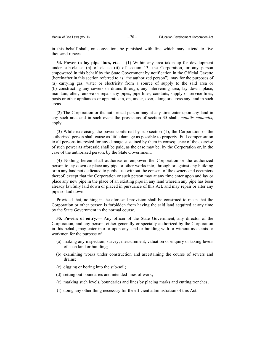in this behalf shall, on conviction, be punished with fine which may extend to five thousand rupees.

**34. Power to lay pipe lines, etc.—** (1) Within any area taken up for development under sub-clause (b) of clause (ii) of section 13, the Corporation, or any person empowered in this behalf by the State Government by notification in the Official Gazette (hereinafter in this section referred to as "the authorized person"), may for the purposes of (a) carrying gas, water or electricity from a source of supply to the said area or (b) constructing any sewers or drains through, any intervening area, lay down, place, maintain, alter, remove or repair any pipes, pipe lines, conduits, supply or service lines, posts or other appliances or apparatus in, on, under, over, along or across any land in such areas.

(2) The Corporation or the authorized person may at any time enter upon any land in any such area and in such event the provisions of section 35 shall, *mutatis mutandis*, apply.

(3) While exercising the power conferred by sub-section (1), the Corporation or the authorized person shall cause as little damage as possible to property. Full compensation to all persons interested for any damage sustained by them in consequence of the exercise of such power as aforesaid shall be paid, as the case may be, by the Corporation or, in the case of the authorized person, by the State Government.

(4) Nothing herein shall authorise or empower the Corporation or the authorized person to lay down or place any pipe or other works into, through or against any building or in any land not dedicated to public use without the consent of the owners and occupiers thereof, except that the Corporation or such person may at any time enter upon and lay or place any new pipe in the place of an existing pipe in any land wherein any pipe has been already lawfully laid down or placed in pursuance of this Act, and may repair or alter any pipe so laid down:

Provided that, nothing in the aforesaid provision shall be construed to mean that the Corporation or other person is forbidden from having the said land acquired at any time by the State Government in the normal course.

**35. Powers of entry.—** Any officer of the State Government, any director of the Corporation, and any person, either generally or specially authorized by the Corporation in this behalf, may enter into or upon any land or building with or without assistants or workmen for the purpose of—

- (a) making any inspection, survey, measurement, valuation or enquiry or taking levels of such land or building;
- (b) examining works under construction and ascertaining the course of sewers and drains;
- (c) digging or boring into the sub-soil;
- (d) setting out boundaries and intended lines of work;
- (e) marking such levels, boundaries and lines by placing marks and cutting trenches;
- (f) doing any other thing necessary for the efficient administration of this Act: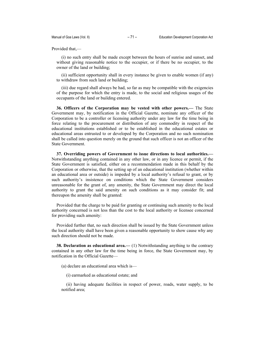Provided that,—

(i) no such entry shall be made except between the hours of sunrise and sunset, and without giving reasonable notice to the occupier, or if there be no occupier, to the owner of the land or building;

(ii) sufficient opportunity shall in every instance be given to enable women (if any) to withdraw from such land or building;

(iii) due regard shall always be had, so far as may be compatible with the exigencies of the purpose for which the entry is made, to the social and religious usages of the occupants of the land or building entered.

**36. Officers of the Corporation may be vested with other powers.—** The State Government may, by notification in the Official Gazette, nominate any officer of the Corporation to be a controller or licensing authority under any law for the time being in force relating to the procurement or distribution of any commodity in respect of the educational institutions established or to be established in the educational estates or educational areas entrusted to or developed by the Corporation and no such nomination shall be called into question merely on the ground that such officer is not an officer of the State Government.

**37. Overriding powers of Government to issue directions to local authorities.—** Notwithstanding anything contained in any other law, or in any licence or permit, if the State Government is satisfied, either on a recommendation made in this behalf by the Corporation or otherwise, that the setting up of an educational institution (whether within an educational area or outside) is impeded by a local authority's refusal to grant, or by such authority's insistence on conditions which the State Government considers unreasonable for the grant of, any amenity, the State Government may direct the local authority to grant the said amenity on such conditions as it may consider fit; and thereupon the amenity shall be granted:

Provided that the charge to be paid for granting or continuing such amenity to the local authority concerned is not less than the cost to the local authority or licensee concerned for providing such amenity:

Provided further that, no such direction shall be issued by the State Government unless the local authority shall have been given a reasonable opportunity to show cause why any such direction should not be made.

**38. Declaration as educational area.—** (1) Notwithstanding anything to the contrary contained in any other law for the time being in force, the State Government may, by notification in the Official Gazette—

(a) declare an educational area which is—

(i) earmarked as educational estate; and

(ii) having adequate facilities in respect of power, roads, water supply, to be notified area;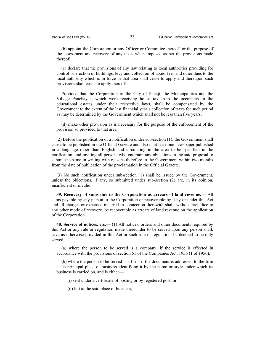(b) appoint the Corporation or any Officer or Committee thereof for the purpose of the assessment and recovery of any taxes when imposed as per the provisions made thereof;

(c) declare that the provisions of any law relating to local authorities providing for control or erection of buildings, levy and collection of taxes, fees and other dues to the local authority which is in force in that area shall cease to apply and thereupon such provisions shall cease to apply thereof:

Provided that the Corporation of the City of Panaji, the Municipalities and the Village Panchayats which were receiving house tax from the occupants in the educational estates under their respective laws, shall be compensated by the Government to the extent of the last financial year's collection of taxes for such period as may be determined by the Government which shall not be less than five years;

(d) make other provision as is necessary for the purpose of the enforcement of the provision so provided to that area.

(2) Before the publication of a notification under sub-section (1), the Government shall cause to be published in the Official Gazette and also in at least one newspaper published in a language other than English and circulating in the area to be specified in the notification, and inviting all persons who entertain any objections to the said proposal to submit the same in writing with reasons therefore to the Government within two months from the date of publication of the proclamation in the Official Gazette.

(3) No such notification under sub-section (1) shall be issued by the Government, unless the objections, if any, so submitted under sub-section (2) are, in its opinion, insufficient or invalid.

**39. Recovery of sums due to the Corporation as arrears of land revenue.—** All sums payable by any person to the Corporation or recoverable by it by or under this Act and all charges or expenses incurred in connection therewith shall, without prejudice to any other mode of recovery, be recoverable as arrears of land revenue on the application of the Corporation.

**40. Service of notices, etc.—** (1) All notices, orders and other documents required by this Act or any rule or regulation made thereunder to be served upon any person shall, save as otherwise provided in this Act or such rule or regulation, be deemed to be duly served—

(a) where the person to be served is a company, if the service is effected in accordance with the provisions of section 51 of the Companies Act, 1956 (1 of 1956);

(b) where the person to be served is a firm, if the document is addressed to the firm at its principal place of business identifying it by the name or style under which its business is carried on, and is either—

(i) sent under a certificate of posting or by registered post, or

(ii) left at the said place of business;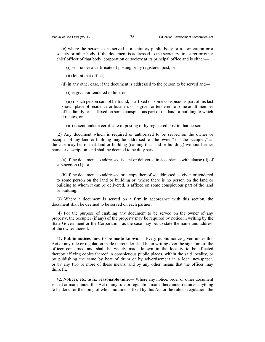(c) where the person to be served is a statutory public body or a corporation or a society or other body, if the document is addressed to the secretary, treasurer or other chief officer of that body, corporation or society at its principal office and is either—

(i) sent under a certificate of posting or by registered post, or

(ii) left at that office;

(d) in any other case, if the document is addressed to the person to be served and—

(i) is given or tendered to him, or

(ii) if such person cannot be found, is affixed on some conspicuous part of his last known place of residence or business or is given or tendered to some adult member of his family or is affixed on some conspicuous part of the land or building to which it relates, or

(iii) is sent under a certificate of posting or by registered post to that person.

(2) Any document which is required or authorized to be served on the owner or occupier of any land or building may be addressed to "the owner" or "the occupier," as the case may be, of that land or building (naming that land or building) without further name or description, and shall be deemed to be duly served—

(a) if the document so addressed is sent or delivered in accordance with clause (d) of sub-section (1); or

(b) if the document so addressed or a copy thereof so addressed, is given or tendered to some person on the land or building or, where there is no person on the land or building to whom it can be delivered, is affixed on some conspicuous part of the land or building.

(3) Where a document is served on a firm in accordance with this section, the document shall be deemed to be served on each partner.

(4) For the purpose of enabling any document to be served on the owner of any property, the occupier (if any) of the property may be required by notice in writing by the State Government or the Corporation, as the case may be, to state the name and address of the owner thereof.

**41. Public notices how to be made known.—** Every public notice given under this Act or any rule or regulation made thereunder shall be in writing over the signature of the officer concerned and shall be widely made known in the locality to be affected thereby affixing copies thereof in conspicuous public places, within the said locality, or by publishing the same by beat of drum or by advertisement in a local newspaper, or by any two or more of these means, and by any other means that the officer may think fit.

**42. Notices, etc. to fix reasonable time.—** Where any notice, order or other document issued or made under this Act or any rule or regulation made thereunder requires anything to be done for the doing of which no time is fixed by this Act or the rule or regulation, the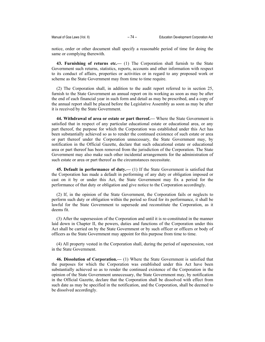notice, order or other document shall specify a reasonable period of time for doing the same or complying therewith.

**43. Furnishing of returns etc.—** (1) The Corporation shall furnish to the State Government such returns, statistics, reports, accounts and other information with respect to its conduct of affairs, properties or activities or in regard to any proposed work or scheme as the State Government may from time to time require.

(2) The Corporation shall, in addition to the audit report referred to in section 25, furnish to the State Government an annual report on its working as soon as may be after the end of each financial year in such form and detail as may be prescribed, and a copy of the annual report shall be placed before the Legislative Assembly as soon as may be after it is received by the State Government.

**44. Withdrawal of area or estate or part thereof.—** Where the State Government is satisfied that in respect of any particular educational estate or educational area, or any part thereof, the purpose for which the Corporation was established under this Act has been substantially achieved so as to render the continued existence of such estate or area or part thereof under the Corporation unnecessary, the State Government may, by notification in the Official Gazette, declare that such educational estate or educational area or part thereof has been removed from the jurisdiction of the Corporation. The State Government may also make such other incidental arrangements for the administration of such estate or area or part thereof as the circumstances necessitate.

**45. Default in performance of duty.—** (1) If the State Government is satisfied that the Corporation has made a default in performing of any duty or obligation imposed or cast on it by or under this Act, the State Government may fix a period for the performance of that duty or obligation and give notice to the Corporation accordingly.

(2) If, in the opinion of the State Government, the Corporation fails or neglects to perform such duty or obligation within the period so fixed for its performance, it shall be lawful for the State Government to supersede and reconstitute the Corporation, as it deems fit.

(3) After the supersession of the Corporation and until it is re-constituted in the manner laid down in Chapter II, the powers, duties and functions of the Corporation under this Act shall be carried on by the State Government or by such officer or officers or body of officers as the State Government may appoint for this purpose from time to time.

(4) All property vested in the Corporation shall, during the period of supersession, vest in the State Government.

**46. Dissolution of Corporation.—** (1) Where the State Government is satisfied that the purposes for which the Corporation was established under this Act have been substantially achieved so as to render the continued existence of the Corporation in the opinion of the State Government unnecessary, the State Government may, by notification in the Official Gazette, declare that the Corporation shall be dissolved with effect from such date as may be specified in the notification, and the Corporation, shall be deemed to be dissolved accordingly.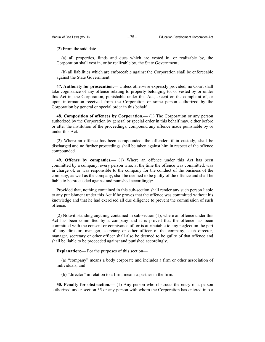(2) From the said date—

(a) all properties, funds and dues which are vested in, or realizable by, the Corporation shall vest in, or be realizable by, the State Government;

(b) all liabilities which are enforceable against the Corporation shall be enforceable against the State Government.

**47. Authority for prosecution.—** Unless otherwise expressly provided, no Court shall take cognizance of any offence relating to property belonging to, or vested by or under this Act in, the Corporation, punishable under this Act, except on the complaint of, or upon information received from the Corporation or some person authorized by the Corporation by general or special order in this behalf.

**48. Composition of offences by Corporation.—** (1) The Corporation or any person authorized by the Corporation by general or special order in this behalf may, either before or after the institution of the proceedings, compound any offence made punishable by or under this Act.

(2) Where an offence has been compounded, the offender, if in custody, shall be discharged and no further proceedings shall be taken against him in respect of the offence compounded.

**49. Offence by companies.—** (1) Where an offence under this Act has been committed by a company, every person who, at the time the offence was committed, was in charge of, or was responsible to the company for the conduct of the business of the company, as well as the company, shall be deemed to be guilty of the offence and shall be liable to be proceeded against and punished accordingly:

Provided that, nothing contained in this sub-section shall render any such person liable to any punishment under this Act if he proves that the offence was committed without his knowledge and that he had exercised all due diligence to prevent the commission of such offence.

(2) Notwithstanding anything contained in sub-section (1), where an offence under this Act has been committed by a company and it is proved that the offence has been committed with the consent or connivance of, or is attributable to any neglect on the part of, any director, manager, secretary or other officer of the company, such director, manager, secretary or other officer shall also be deemed to be guilty of that offence and shall be liable to be proceeded against and punished accordingly.

**Explanation:—** For the purposes of this section—

(a) "company" means a body corporate and includes a firm or other association of individuals; and

(b) "director" in relation to a firm, means a partner in the firm.

**50. Penalty for obstruction.—** (1) Any person who obstructs the entry of a person authorized under section 35 or any person with whom the Corporation has entered into a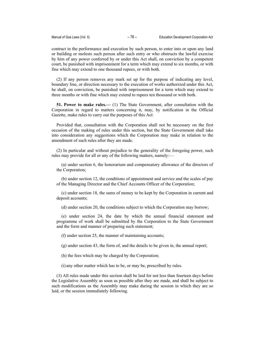contract in the performance and execution by such person, to enter into or upon any land or building or molests such person after such entry or who obstructs the lawful exercise by him of any power conferred by or under this Act shall, on conviction by a competent court, be punished with imprisonment for a term which may extend to six months, or with fine which may extend to one thousand rupees, or with both.

(2) If any person removes any mark set up for the purpose of indicating any level, boundary line, or direction necessary to the execution of works authorized under this Act, he shall, on conviction, be punished with imprisonment for a term which may extend to three months or with fine which may extend to rupees ten thousand or with both.

**51. Power to make rules.—** (1) The State Government, after consultation with the Corporation in regard to matters concerning it, may, by notification in the Official Gazette, make rules to carry out the purposes of this Act:

Provided that, consultation with the Corporation shall not be necessary on the first occasion of the making of rules under this section, but the State Government shall take into consideration any suggestions which the Corporation may make in relation to the amendment of such rules after they are made.

(2) In particular and without prejudice to the generality of the foregoing power, such rules may provide for all or any of the following matters, namely:—

(a) under section 6, the honorarium and compensatory allowance of the directors of the Corporation;

(b) under section 12, the conditions of appointment and service and the scales of pay of the Managing Director and the Chief Accounts Officer of the Corporation;

(c) under section 18, the sums of money to be kept by the Corporation in current and deposit accounts;

(d) under section 20, the conditions subject to which the Corporation may borrow;

(e) under section 24, the date by which the annual financial statement and programme of work shall be submitted by the Corporation to the State Government and the form and manner of preparing such statement;

(f) under section 25, the manner of maintaining accounts;

(g) under section 43, the form of, and the details to be given in, the annual report;

(h) the fees which may be charged by the Corporation;

(i) any other matter which has to be, or may be, prescribed by rules.

(3) All rules made under this section shall be laid for not less than fourteen days before the Legislative Assembly as soon as possible after they are made, and shall be subject to such modifications as the Assembly may make during the session in which they are so laid, or the session immediately following.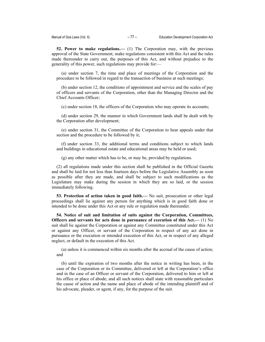**52. Power to make regulations.—** (1) The Corporation may, with the previous approval of the State Government, make regulations consistent with this Act and the rules made thereunder to carry out, the purposes of this Act, and without prejudice to the generality of this power, such regulations may provide for:—

(a) under section 7, the time and place of meetings of the Corporation and the procedure to be followed in regard to the transaction of business at such meetings;

(b) under section 12, the conditions of appointment and service and the scales of pay of officers and servants of the Corporation, other than the Managing Director and the Chief Accounts Officer;

(c) under section 18, the officers of the Corporation who may operate its accounts;

(d) under section 29, the manner in which Government lands shall be dealt with by the Corporation after development;

(e) under section 31, the Committee of the Corporation to hear appeals under that section and the procedure to be followed by it;

(f) under section 33, the additional terms and conditions subject to which lands and buildings in educational estate and educational areas may be held or used;

(g) any other matter which has to be, or may be, provided by regulations.

(2) all regulations made under this section shall be published in the Official Gazette and shall be laid for not less than fourteen days before the Legislative Assembly as soon as possible after they are made, and shall be subject to such modifications as the Legislature may make during the session in which they are so laid, or the session immediately following.

**53. Protection of action taken in good faith.—** No suit, prosecution or other legal proceedings shall lie against any person for anything which is in good faith done or intended to be done under this Act or any rule or regulation made thereunder.

**54. Notice of suit and limitation of suits against the Corporation, Committees, Officers and servants for acts done in pursuance of execution of this Act.—** (1) No suit shall lie against the Corporation or against any Committee constituted under this Act or against any Officer, or servant of the Corporation in respect of any act done in pursuance or the execution or intended execution of this Act, or in respect of any alleged neglect, or default in the execution of this Act.

(a) unless it is commenced within six months after the accrual of the cause of action; and

(b) until the expiration of two months after the notice in writing has been, in the case of the Corporation or its Committee, delivered or left at the Corporation's office and in the case of an Officer or servant of the Corporation, delivered to him or left at his office or place of abode; and all such notices shall state with reasonable particulars the cause of action and the name and place of abode of the intending plaintiff and of his advocate, pleader, or agent, if any, for the purpose of the suit.